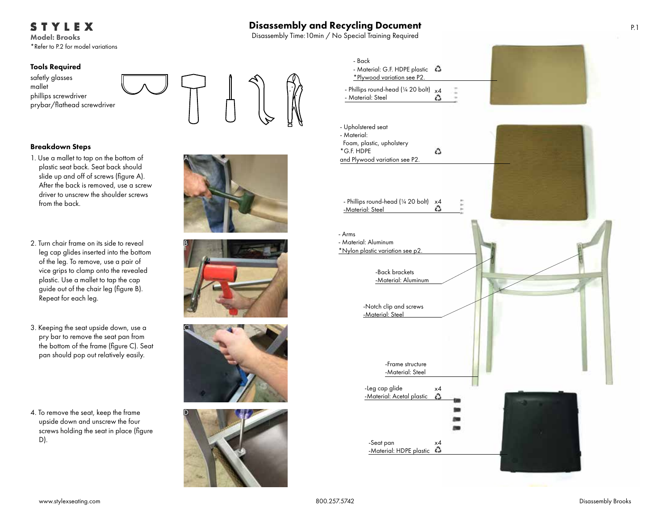STYLEX

Model: Brooks \*Refer to P.2 for model variations

#### Tools Required





## Breakdown Steps

- 1. Use a mallet to tap on the bottom of plastic seat back. Seat back should slide up and off of screws (figure A). After the back is removed, use a screw driver to unscrew the shoulder screws from the back.
- 2. Turn chair frame on its side to reveal leg cap glides inserted into the bottom of the leg. To remove, use a pair of vice grips to clamp onto the revealed plastic. Use a mallet to tap the cap guide out of the chair leg (figure B). Repeat for each leg.
- 3. Keeping the seat upside down, use a pry bar to remove the seat pan from the bottom of the frame (figure C). Seat pan should pop out relatively easily.
- 4. To remove the seat, keep the frame upside down and unscrew the four screws holding the seat in place (figure D).